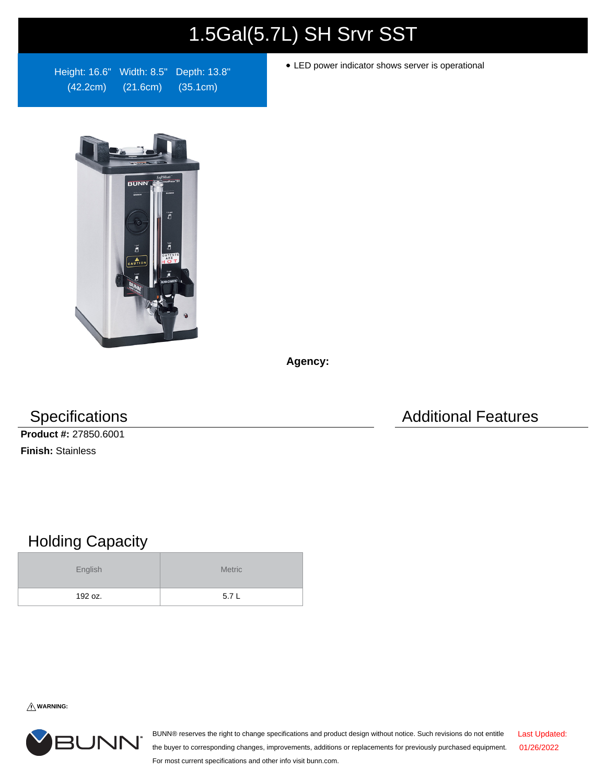## 1.5Gal(5.7L) SH Srvr SST

Height: 16.6" Width: 8.5" Depth: 13.8" (42.2cm) (21.6cm) (35.1cm)

LED power indicator shows server is operational



**Agency:**

**Product #:** 27850.6001 **Finish:** Stainless

Specifications **Additional Features** Additional Features

## Holding Capacity

| English | <b>Metric</b> |
|---------|---------------|
| 192 oz. | 5.7L          |

**WARNING:**



BUNN® reserves the right to change specifications and product design without notice. Such revisions do not entitle the buyer to corresponding changes, improvements, additions or replacements for previously purchased equipment. For most current specifications and other info visit bunn.com. Last Updated: 01/26/2022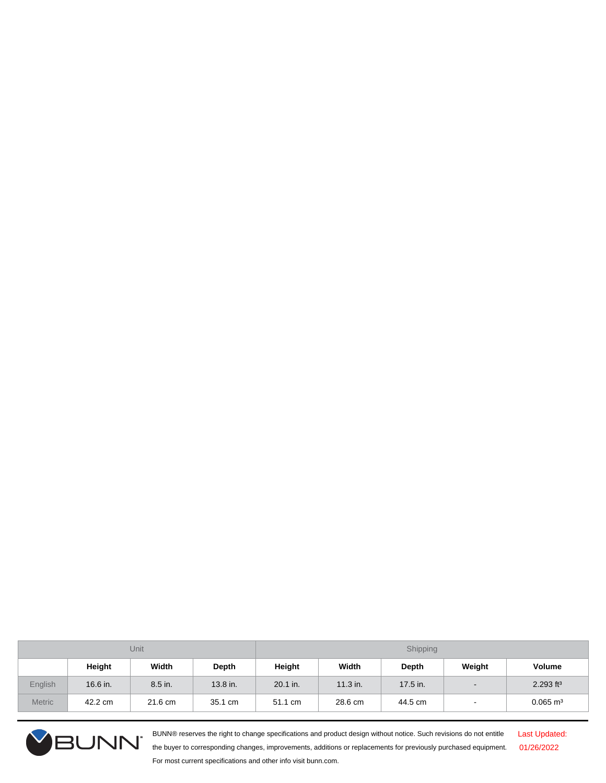| Unit <sub>.</sub> |          |         |          | Shipping |            |              |                          |                         |
|-------------------|----------|---------|----------|----------|------------|--------------|--------------------------|-------------------------|
|                   | Height   | Width   | Depth    | Height   | Width      | <b>Depth</b> | Weight                   | Volume                  |
| English           | 16.6 in. | 8.5 in. | 13.8 in. | 20.1 in. | $11.3$ in. | 17.5 in.     | $\overline{\phantom{0}}$ | $2.293$ ft <sup>3</sup> |
| <b>Metric</b>     | 42.2 cm  | 21.6 cm | 35.1 cm  | 51.1 cm  | 28.6 cm    | 44.5 cm      | $\overline{\phantom{a}}$ | $0.065 \text{ m}^3$     |



BUNN® reserves the right to change specifications and product design without notice. Such revisions do not entitle the buyer to corresponding changes, improvements, additions or replacements for previously purchased equipment. For most current specifications and other info visit bunn.com.

Last Updated: 01/26/2022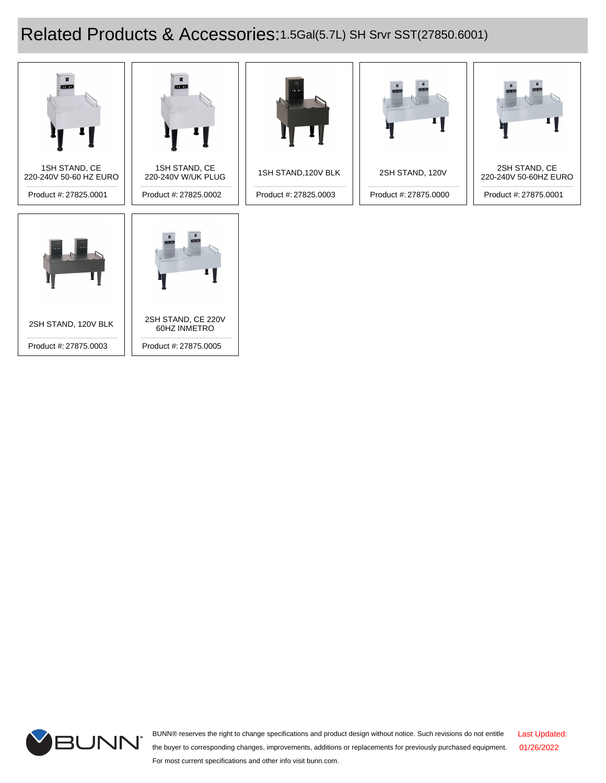## Related Products & Accessories:1.5Gal(5.7L) SH Srvr SST(27850.6001)